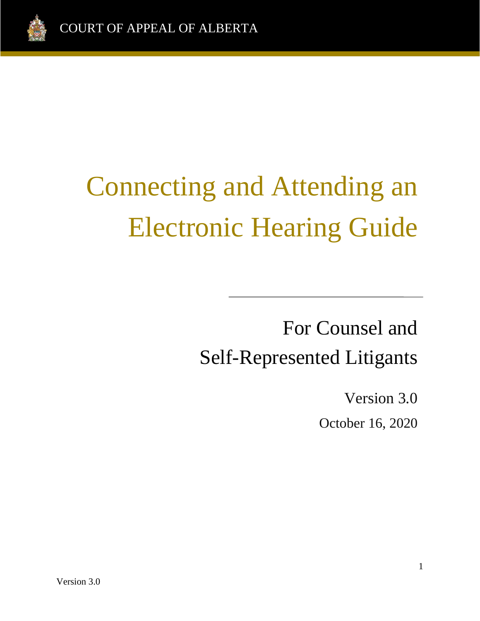# Connecting and Attending an Electronic Hearing Guide

## For Counsel and Self-Represented Litigants

Version 3.0 October 16, 2020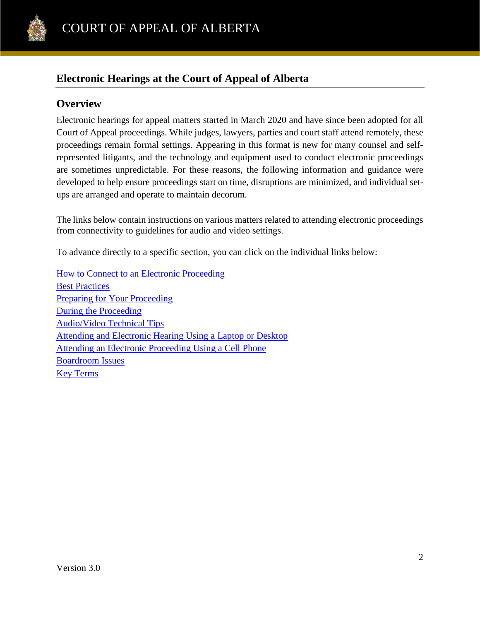

### **Electronic Hearings at the Court of Appeal of Alberta**

#### **Overview**

Electronic hearings for appeal matters started in March 2020 and have since been adopted for all Court of Appeal proceedings. While judges, lawyers, parties and court staff attend remotely, these proceedings remain formal settings. Appearing in this format is new for many counsel and selfrepresented litigants, and the technology and equipment used to conduct electronic proceedings are sometimes unpredictable. For these reasons, the following information and guidance were developed to help ensure proceedings start on time, disruptions are minimized, and individual setups are arranged and operate to maintain decorum.

The links below contain instructions on various matters related to attending electronic proceedings from connectivity to guidelines for audio and video settings.

To advance directly to a specific section, you can click on the individual links below:

[How to Connect to an Electronic](#page-2-0) Proceeding [Best Practices](#page-6-0) [Preparing for Your](#page-6-1) Proceeding [During the Proceeding](#page-7-0) [Audio/Video Technical Tips](#page-8-0) [Attending and Electronic Hearing Using a Laptop or](#page-8-0) Desktop [Attending an Electronic Proceeding Using a Cell Phone](#page-9-0) [Boardroom Issues](#page-10-0) [Key Terms](#page-12-0)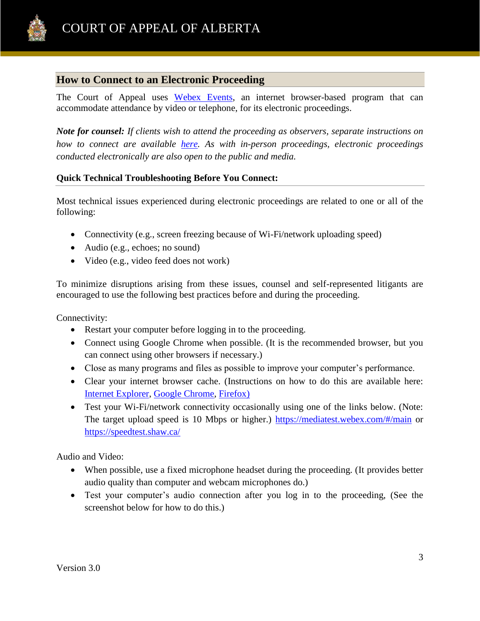

#### <span id="page-2-0"></span>**How to Connect to an Electronic Proceeding**

The Court of Appeal uses [Webex Events,](https://www.webex.com/webinar.html) an internet browser-based program that can accommodate attendance by video or telephone, for its electronic proceedings.

*Note for counsel: If clients wish to attend the proceeding as observers, separate instructions on how to connect are available [here.](https://albertacourts.ca/ca/publications/announcements/notice-to-the-profession-and-public---new-procedure-for-electronic-hearings-confidentiality-or-privacy-concerns) As with in-person proceedings, electronic proceedings conducted electronically are also open to the public and media.*

#### **Quick Technical Troubleshooting Before You Connect:**

Most technical issues experienced during electronic proceedings are related to one or all of the following:

- Connectivity (e.g., screen freezing because of Wi-Fi/network uploading speed)
- Audio (e.g., echoes; no sound)
- Video (e.g., video feed does not work)

To minimize disruptions arising from these issues, counsel and self-represented litigants are encouraged to use the following best practices before and during the proceeding.

Connectivity:

- Restart your computer before logging in to the proceeding.
- Connect using Google Chrome when possible. (It is the recommended browser, but you can connect using other browsers if necessary.)
- Close as many programs and files as possible to improve your computer's performance.
- Clear your internet browser cache. (Instructions on how to do this are available here: [Internet Explorer,](https://help.webex.com/en-us/WBX37919/Clear-Cache-and-Cookies-in-Microsoft-Internet-Explorer) [Google Chrome,](https://help.webex.com/en-us/WBX38899/Clear-Cache-and-Cookies-in-Google-Chrome) [Firefox\)](https://help.webex.com/en-us/WBX38898/Clear-Cache-and-Cookies-in-Mozilla-Firefox)
- Test your Wi-Fi/network connectivity occasionally using one of the links below. (Note: The target upload speed is 10 Mbps or higher.) <https://mediatest.webex.com/#/main> or <https://speedtest.shaw.ca/>

Audio and Video:

- When possible, use a fixed microphone headset during the proceeding. (It provides better audio quality than computer and webcam microphones do.)
- Test your computer's audio connection after you log in to the proceeding, (See the screenshot below for how to do this.)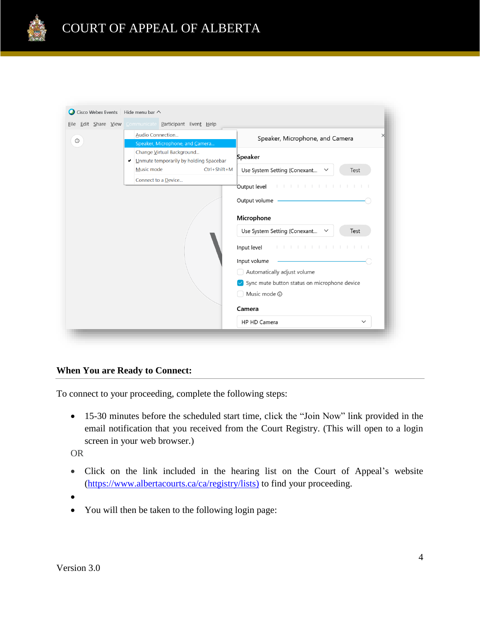

|         | File Edit Share View Communicate Participant Event Help                  |                                                      |
|---------|--------------------------------------------------------------------------|------------------------------------------------------|
| $\odot$ | Audio Connection                                                         | Speaker, Microphone, and Camera                      |
|         | Speaker, Microphone, and Camera                                          |                                                      |
|         | Change Virtual Background<br>Unmute temporarily by holding Spacebar<br>✔ | Speaker                                              |
|         | Music mode<br>Ctrl+Shift+M                                               | Use System Setting (Conexant<br>Test<br>$\checkmark$ |
|         | Connect to a Device                                                      | Output level<br>.                                    |
|         |                                                                          | Output volume                                        |
|         |                                                                          | Microphone                                           |
|         |                                                                          | Use System Setting (Conexant<br>Test<br>$\checkmark$ |
|         |                                                                          | Input level<br>.                                     |
|         |                                                                          | Input volume                                         |
|         |                                                                          | Automatically adjust volume                          |
|         |                                                                          | $\vee$ Sync mute button status on microphone device  |
|         |                                                                          | Music mode <sub>(1)</sub>                            |
|         |                                                                          | Camera                                               |
|         |                                                                          | HP HD Camera<br>$\checkmark$                         |

#### **When You are Ready to Connect:**

To connect to your proceeding, complete the following steps:

• 15-30 minutes before the scheduled start time, click the "Join Now" link provided in the email notification that you received from the Court Registry. (This will open to a login screen in your web browser.)

OR

• Click on the link included in the hearing list on the Court of Appeal's website [\(https://www.albertacourts.ca/ca/registry/lists\)](https://www.albertacourts.ca/ca/registry/lists) to find your proceeding.

•

• You will then be taken to the following login page: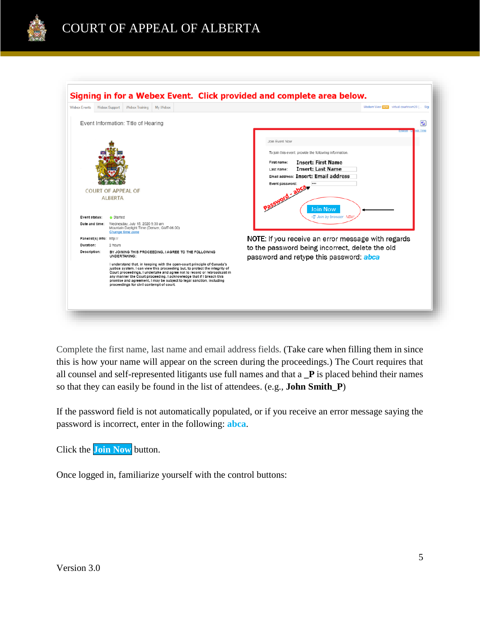



Complete the first name, last name and email address fields. (Take care when filling them in since this is how your name will appear on the screen during the proceedings.) The Court requires that all counsel and self-represented litigants use full names and that a **\_P** is placed behind their names so that they can easily be found in the list of attendees. (e.g., **John Smith\_P**)

If the password field is not automatically populated, or if you receive an error message saying the password is incorrect, enter in the following: **abca**.

Click the **Join Now** button.

Once logged in, familiarize yourself with the control buttons: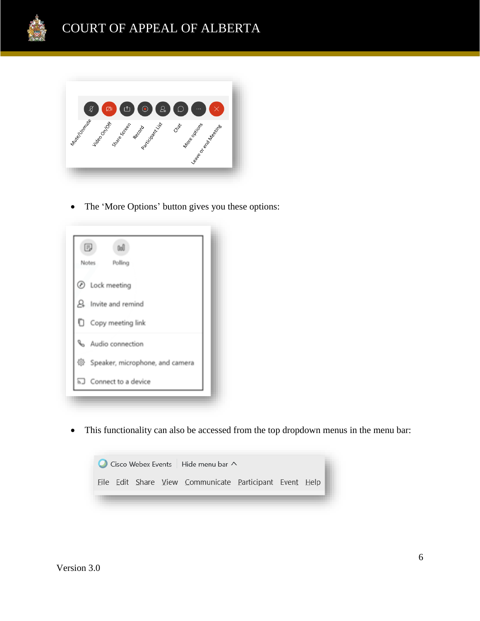



• The 'More Options' button gives you these options:



• This functionality can also be accessed from the top dropdown menus in the menu bar:

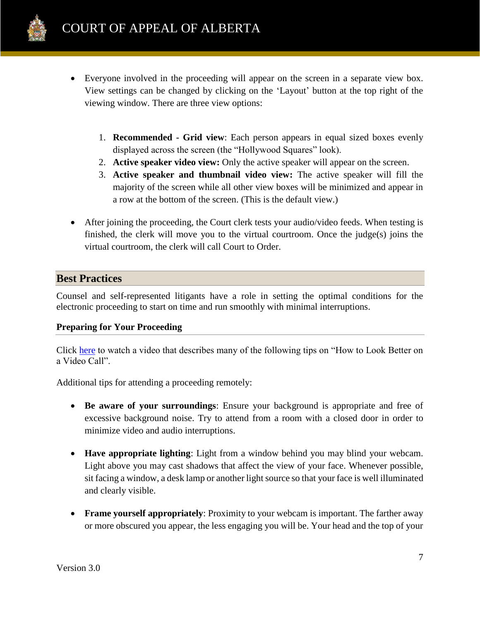

- Everyone involved in the proceeding will appear on the screen in a separate view box. View settings can be changed by clicking on the 'Layout' button at the top right of the viewing window. There are three view options:
	- 1. **Recommended - Grid view**: Each person appears in equal sized boxes evenly displayed across the screen (the "Hollywood Squares" look).
	- 2. **Active speaker video view:** Only the active speaker will appear on the screen.
	- 3. **Active speaker and thumbnail video view:** The active speaker will fill the majority of the screen while all other view boxes will be minimized and appear in a row at the bottom of the screen. (This is the default view.)
- After joining the proceeding, the Court clerk tests your audio/video feeds. When testing is finished, the clerk will move you to the virtual courtroom. Once the judge(s) joins the virtual courtroom, the clerk will call Court to Order.

#### <span id="page-6-0"></span>**Best Practices**

Counsel and self-represented litigants have a role in setting the optimal conditions for the electronic proceeding to start on time and run smoothly with minimal interruptions.

#### <span id="page-6-1"></span>**Preparing for Your Proceeding**

Click [here](https://www.youtube.com/watch?v=6rUhmh0TThE&feature=youtu.be) to watch a video that describes many of the following tips on "How to Look Better on a Video Call".

Additional tips for attending a proceeding remotely:

- **Be aware of your surroundings**: Ensure your background is appropriate and free of excessive background noise. Try to attend from a room with a closed door in order to minimize video and audio interruptions.
- **Have appropriate lighting**: Light from a window behind you may blind your webcam. Light above you may cast shadows that affect the view of your face. Whenever possible, sit facing a window, a desk lamp or another light source so that your face is well illuminated and clearly visible.
- **Frame yourself appropriately**: Proximity to your webcam is important. The farther away or more obscured you appear, the less engaging you will be. Your head and the top of your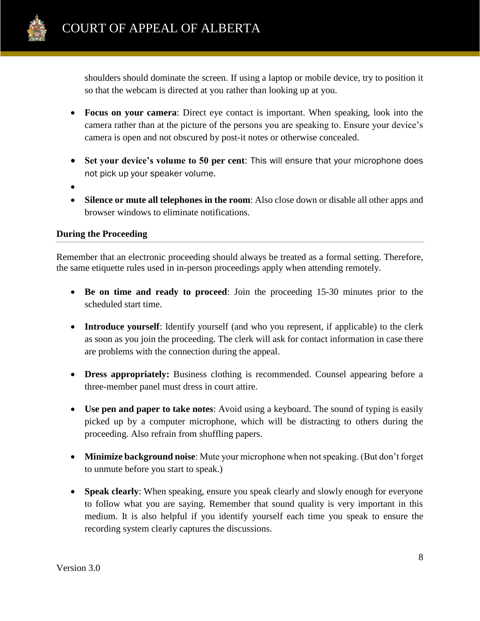

shoulders should dominate the screen. If using a laptop or mobile device, try to position it so that the webcam is directed at you rather than looking up at you.

- **Focus on your camera**: Direct eye contact is important. When speaking, look into the camera rather than at the picture of the persons you are speaking to. Ensure your device's camera is open and not obscured by post-it notes or otherwise concealed.
- **Set your device's volume to 50 per cent**: This will ensure that your microphone does not pick up your speaker volume.
- •
- **Silence or mute all telephones in the room**: Also close down or disable all other apps and browser windows to eliminate notifications.

#### <span id="page-7-0"></span>**During the Proceeding**

Remember that an electronic proceeding should always be treated as a formal setting. Therefore, the same etiquette rules used in in-person proceedings apply when attending remotely.

- **Be on time and ready to proceed**: Join the proceeding 15-30 minutes prior to the scheduled start time.
- **Introduce yourself**: Identify yourself (and who you represent, if applicable) to the clerk as soon as you join the proceeding. The clerk will ask for contact information in case there are problems with the connection during the appeal.
- **Dress appropriately:** Business clothing is recommended. Counsel appearing before a three-member panel must dress in court attire.
- **Use pen and paper to take notes**: Avoid using a keyboard. The sound of typing is easily picked up by a computer microphone, which will be distracting to others during the proceeding. Also refrain from shuffling papers.
- **Minimize background noise**: Mute your microphone when not speaking. (But don't forget to unmute before you start to speak.)
- **Speak clearly**: When speaking, ensure you speak clearly and slowly enough for everyone to follow what you are saying. Remember that sound quality is very important in this medium. It is also helpful if you identify yourself each time you speak to ensure the recording system clearly captures the discussions.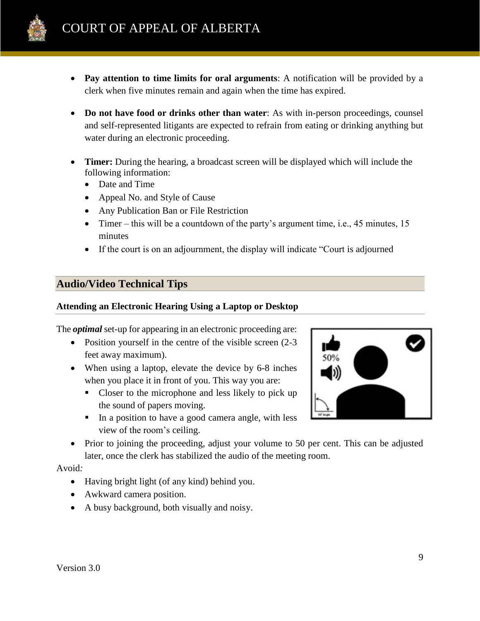

- **Pay attention to time limits for oral arguments**: A notification will be provided by a clerk when five minutes remain and again when the time has expired.
- **Do not have food or drinks other than water**: As with in-person proceedings, counsel and self-represented litigants are expected to refrain from eating or drinking anything but water during an electronic proceeding.
- **Timer:** During the hearing, a broadcast screen will be displayed which will include the following information:
	- Date and Time
	- Appeal No. and Style of Cause
	- Any Publication Ban or File Restriction
	- Timer this will be a countdown of the party's argument time, i.e., 45 minutes, 15 minutes
	- If the court is on an adjournment, the display will indicate "Court is adjourned

#### <span id="page-8-0"></span>**Audio/Video Technical Tips**

#### **Attending an Electronic Hearing Using a Laptop or Desktop**

The *optimal* set-up for appearing in an electronic proceeding are:

- Position yourself in the centre of the visible screen  $(2-3)$ feet away maximum).
- When using a laptop, elevate the device by 6-8 inches when you place it in front of you. This way you are:
	- Closer to the microphone and less likely to pick up the sound of papers moving.
	- **IF** In a position to have a good camera angle, with less view of the room's ceiling.
- 
- Prior to joining the proceeding, adjust your volume to 50 per cent. This can be adjusted later, once the clerk has stabilized the audio of the meeting room.

#### Avoid*:*

- Having bright light (of any kind) behind you.
- Awkward camera position.
- A busy background, both visually and noisy.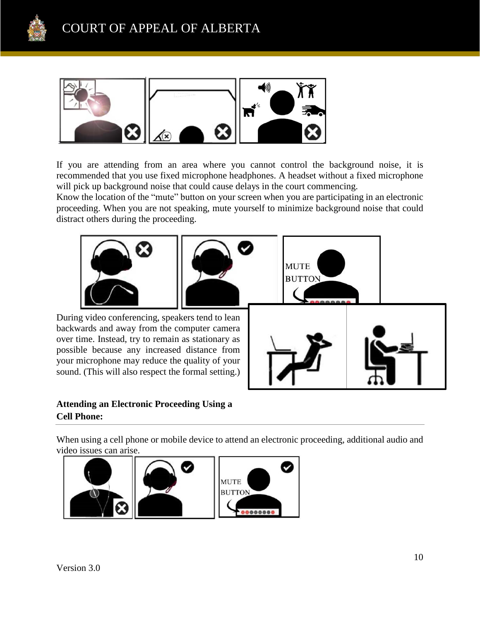



If you are attending from an area where you cannot control the background noise, it is recommended that you use fixed microphone headphones. A headset without a fixed microphone will pick up background noise that could cause delays in the court commencing.

Know the location of the "mute" button on your screen when you are participating in an electronic proceeding. When you are not speaking, mute yourself to minimize background noise that could distract others during the proceeding.







During video conferencing, speakers tend to lean backwards and away from the computer camera over time. Instead, try to remain as stationary as possible because any increased distance from your microphone may reduce the quality of your sound. (This will also respect the formal setting.)

#### <span id="page-9-0"></span>**Attending an Electronic Proceeding Using a Cell Phone:**

When using a cell phone or mobile device to attend an electronic proceeding, additional audio and video issues can arise.

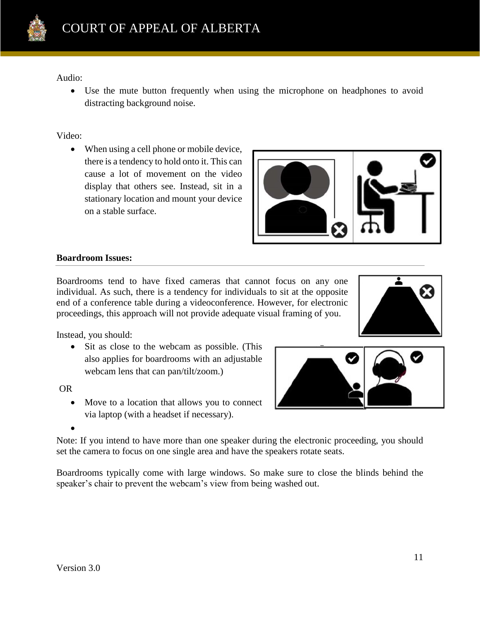

Audio:

• Use the mute button frequently when using the microphone on headphones to avoid distracting background noise.

Video:

• When using a cell phone or mobile device, there is a tendency to hold onto it. This can cause a lot of movement on the video display that others see. Instead, sit in a stationary location and mount your device on a stable surface.



#### <span id="page-10-0"></span>**Boardroom Issues:**

Boardrooms tend to have fixed cameras that cannot focus on any one individual. As such, there is a tendency for individuals to sit at the opposite end of a conference table during a videoconference. However, for electronic proceedings, this approach will not provide adequate visual framing of you.

Instead, you should:

• Sit as close to the webcam as possible. (This also applies for boardrooms with an adjustable webcam lens that can pan/tilt/zoom.)

OR

• Move to a location that allows you to connect via laptop (with a headset if necessary).





•

Note: If you intend to have more than one speaker during the electronic proceeding, you should set the camera to focus on one single area and have the speakers rotate seats.

Boardrooms typically come with large windows. So make sure to close the blinds behind the speaker's chair to prevent the webcam's view from being washed out.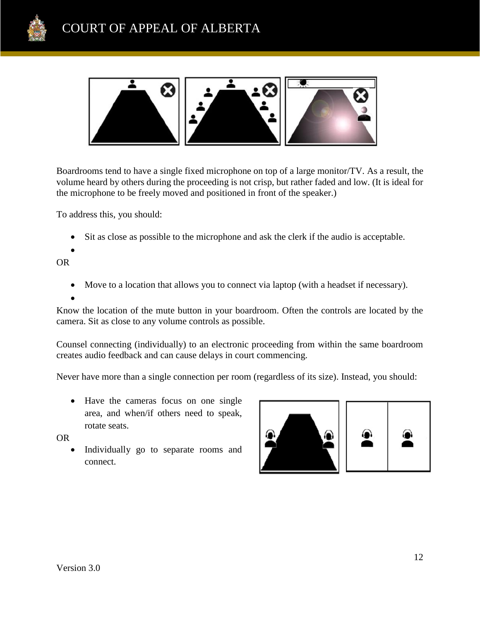



Boardrooms tend to have a single fixed microphone on top of a large monitor/TV. As a result, the volume heard by others during the proceeding is not crisp, but rather faded and low. (It is ideal for the microphone to be freely moved and positioned in front of the speaker.)

To address this, you should:

- Sit as close as possible to the microphone and ask the clerk if the audio is acceptable.
- OR
	- Move to a location that allows you to connect via laptop (with a headset if necessary).

•

Know the location of the mute button in your boardroom. Often the controls are located by the camera. Sit as close to any volume controls as possible.

Counsel connecting (individually) to an electronic proceeding from within the same boardroom creates audio feedback and can cause delays in court commencing.

Never have more than a single connection per room (regardless of its size). Instead, you should:

• Have the cameras focus on one single area, and when/if others need to speak, rotate seats.

OR

• Individually go to separate rooms and connect.